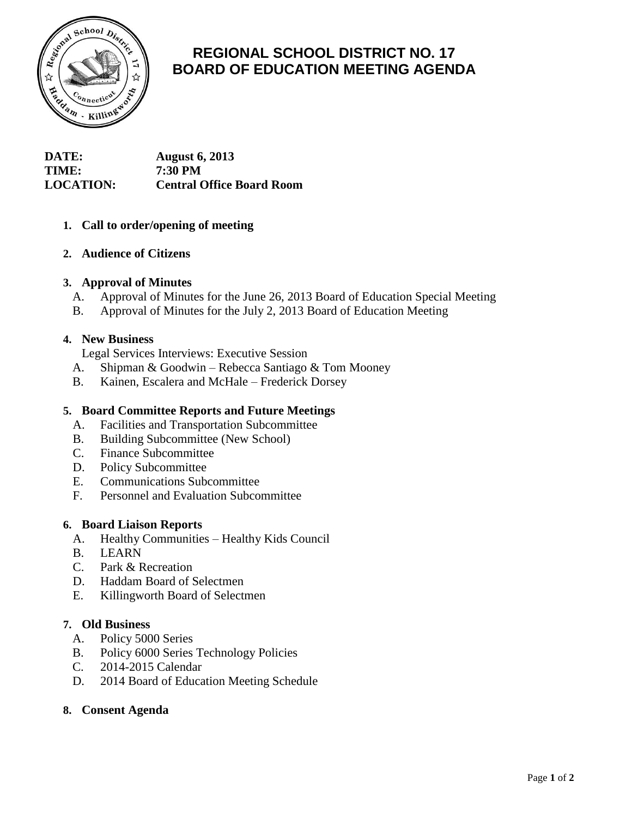

# **REGIONAL SCHOOL DISTRICT NO. 17 BOARD OF EDUCATION MEETING AGENDA**

**DATE: August 6, 2013 TIME: 7:30 PM LOCATION: Central Office Board Room**

# **1. Call to order/opening of meeting**

## **2. Audience of Citizens**

#### **3. Approval of Minutes**

- A. Approval of Minutes for the June 26, 2013 Board of Education Special Meeting
- B. Approval of Minutes for the July 2, 2013 Board of Education Meeting

#### **4. New Business**

Legal Services Interviews: Executive Session

- A. Shipman & Goodwin Rebecca Santiago & Tom Mooney
- B. Kainen, Escalera and McHale Frederick Dorsey

#### **5. Board Committee Reports and Future Meetings**

- A. Facilities and Transportation Subcommittee
- B. Building Subcommittee (New School)
- C. Finance Subcommittee
- D. Policy Subcommittee
- E. Communications Subcommittee
- F. Personnel and Evaluation Subcommittee

#### **6. Board Liaison Reports**

- A. Healthy Communities Healthy Kids Council
- B. LEARN
- C. Park & Recreation
- D. Haddam Board of Selectmen
- E. Killingworth Board of Selectmen

#### **7. Old Business**

- A. Policy 5000 Series
- B. Policy 6000 Series Technology Policies
- C. 2014-2015 Calendar
- D. 2014 Board of Education Meeting Schedule

# **8. Consent Agenda**